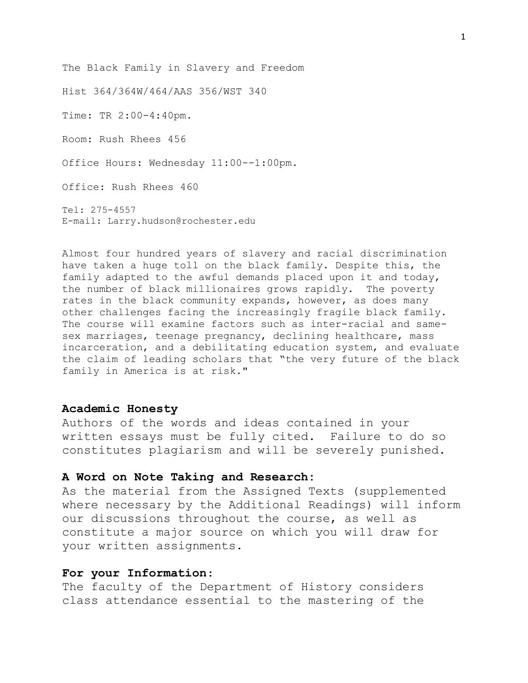The Black Family in Slavery and Freedom

Hist 364/364W/464/AAS 356/WST 340

Time: TR 2:00-4:40pm.

Room: Rush Rhees 456

Office Hours: Wednesday 11:00--1:00pm.

Office: Rush Rhees 460

Tel: 275-4557 E-mail: Larry.hudson@rochester.edu

Almost four hundred years of slavery and racial discrimination have taken a huge toll on the black family. Despite this, the family adapted to the awful demands placed upon it and today, the number of black millionaires grows rapidly. The poverty rates in the black community expands, however, as does many other challenges facing the increasingly fragile black family. The course will examine factors such as inter-racial and samesex marriages, teenage pregnancy, declining healthcare, mass incarceration, and a debilitating education system, and evaluate the claim of leading scholars that "the very future of the black family in America is at risk."

#### **Academic Honesty**

Authors of the words and ideas contained in your written essays must be fully cited. Failure to do so constitutes plagiarism and will be severely punished.

#### **A Word on Note Taking and Research:**

As the material from the Assigned Texts (supplemented where necessary by the Additional Readings) will inform our discussions throughout the course, as well as constitute a major source on which you will draw for your written assignments.

## **For your Information**:

The faculty of the Department of History considers class attendance essential to the mastering of the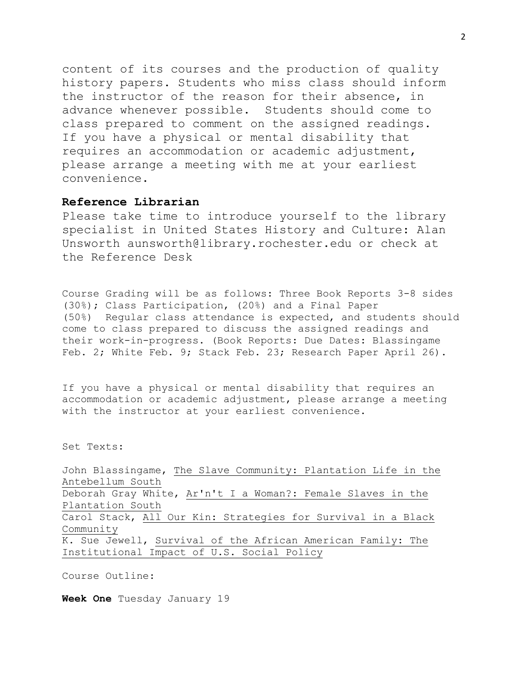content of its courses and the production of quality history papers. Students who miss class should inform the instructor of the reason for their absence, in advance whenever possible. Students should come to class prepared to comment on the assigned readings. If you have a physical or mental disability that requires an accommodation or academic adjustment, please arrange a meeting with me at your earliest convenience.

### **Reference Librarian**

Please take time to introduce yourself to the library specialist in United States History and Culture: Alan Unsworth aunsworth@library.rochester.edu or check at the Reference Desk

Course Grading will be as follows: Three Book Reports 3-8 sides (30%); Class Participation, (20%) and a Final Paper (50%) Regular class attendance is expected, and students should come to class prepared to discuss the assigned readings and their work-in-progress. (Book Reports: Due Dates: Blassingame Feb. 2; White Feb. 9; Stack Feb. 23; Research Paper April 26).

If you have a physical or mental disability that requires an accommodation or academic adjustment, please arrange a meeting with the instructor at your earliest convenience.

Set Texts:

John Blassingame, The Slave Community: Plantation Life in the Antebellum South Deborah Gray White, Ar'n't I a Woman?: Female Slaves in the Plantation South Carol Stack, All Our Kin: Strategies for Survival in a Black Community K. Sue Jewell, Survival of the African American Family: The Institutional Impact of U.S. Social Policy

Course Outline:

**Week One** Tuesday January 19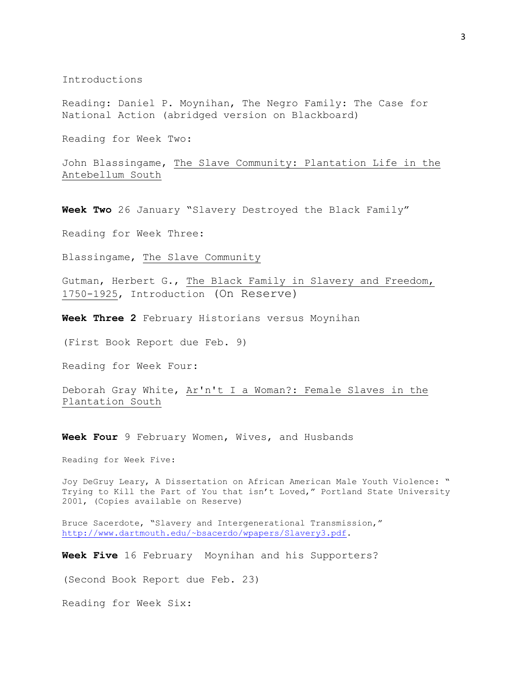Introductions

Reading: Daniel P. Moynihan, The Negro Family: The Case for National Action (abridged version on Blackboard)

Reading for Week Two:

John Blassingame, The Slave Community: Plantation Life in the Antebellum South

**Week Two** 26 January "Slavery Destroyed the Black Family"

Reading for Week Three:

Blassingame, The Slave Community

Gutman, Herbert G., The Black Family in Slavery and Freedom, 1750-1925, Introduction (On Reserve)

**Week Three 2** February Historians versus Moynihan

(First Book Report due Feb. 9)

Reading for Week Four:

Deborah Gray White, Ar'n't I a Woman?: Female Slaves in the Plantation South

**Week Four** 9 February Women, Wives, and Husbands

Reading for Week Five:

Joy DeGruy Leary, A Dissertation on African American Male Youth Violence: " Trying to Kill the Part of You that isn't Loved," Portland State University 2001, (Copies available on Reserve)

Bruce Sacerdote, "Slavery and Intergenerational Transmission," [http://www.dartmouth.edu/~bsacerdo/wpapers/Slavery3.pdf.](http://www.dartmouth.edu/~bsacerdo/wpapers/Slavery3.pdf)

**Week Five** 16 February Moynihan and his Supporters?

(Second Book Report due Feb. 23)

Reading for Week Six: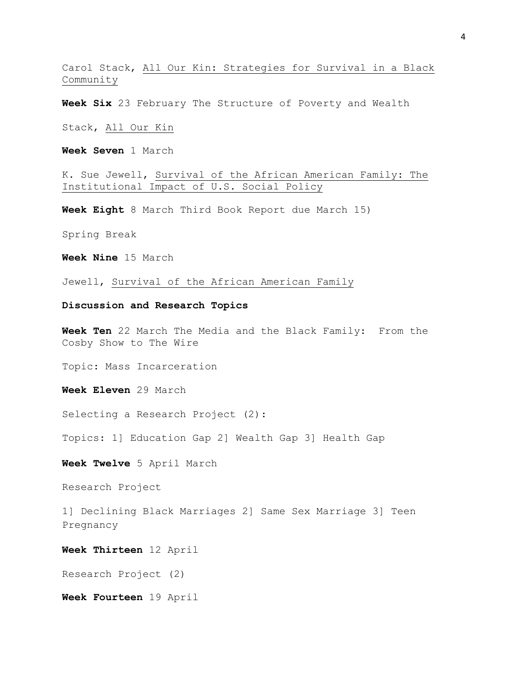Carol Stack, All Our Kin: Strategies for Survival in a Black Community

**Week Six** 23 February The Structure of Poverty and Wealth

Stack, All Our Kin

**Week Seven** 1 March

K. Sue Jewell, Survival of the African American Family: The Institutional Impact of U.S. Social Policy

**Week Eight** 8 March Third Book Report due March 15)

Spring Break

**Week Nine** 15 March

Jewell, Survival of the African American Family

#### **Discussion and Research Topics**

**Week Ten** 22 March The Media and the Black Family: From the Cosby Show to The Wire

Topic: Mass Incarceration

**Week Eleven** 29 March

Selecting a Research Project (2):

Topics: 1] Education Gap 2] Wealth Gap 3] Health Gap

**Week Twelve** 5 April March

Research Project

1] Declining Black Marriages 2] Same Sex Marriage 3] Teen Pregnancy

**Week Thirteen** 12 April

Research Project (2)

**Week Fourteen** 19 April